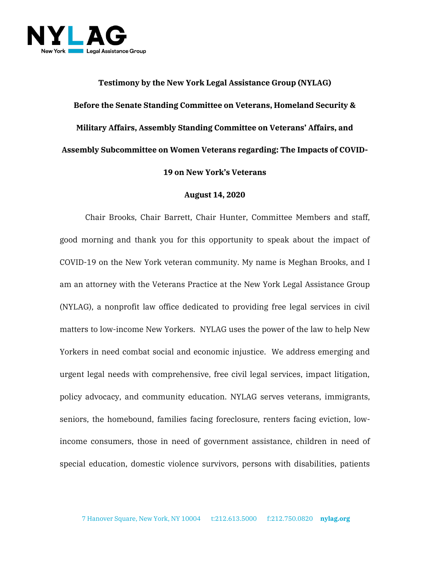

**Testimony by the New York Legal Assistance Group (NYLAG) Before the Senate Standing Committee on Veterans, Homeland Security & Military Affairs, Assembly Standing Committee on Veterans' Affairs, and Assembly Subcommittee on Women Veterans regarding: The Impacts of COVID-19 on New York's Veterans**

## **August 14, 2020**

Chair Brooks, Chair Barrett, Chair Hunter, Committee Members and staff, good morning and thank you for this opportunity to speak about the impact of COVID-19 on the New York veteran community. My name is Meghan Brooks, and I am an attorney with the Veterans Practice at the New York Legal Assistance Group (NYLAG), a nonprofit law office dedicated to providing free legal services in civil matters to low-income New Yorkers. NYLAG uses the power of the law to help New Yorkers in need combat social and economic injustice. We address emerging and urgent legal needs with comprehensive, free civil legal services, impact litigation, policy advocacy, and community education. NYLAG serves veterans, immigrants, seniors, the homebound, families facing foreclosure, renters facing eviction, lowincome consumers, those in need of government assistance, children in need of special education, domestic violence survivors, persons with disabilities, patients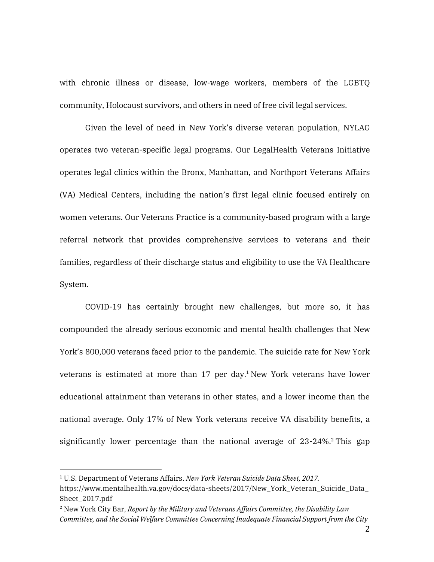with chronic illness or disease, low-wage workers, members of the LGBTQ community, Holocaust survivors, and others in need of free civil legal services.

Given the level of need in New York's diverse veteran population, NYLAG operates two veteran-specific legal programs. Our LegalHealth Veterans Initiative operates legal clinics within the Bronx, Manhattan, and Northport Veterans Affairs (VA) Medical Centers, including the nation's first legal clinic focused entirely on women veterans. Our Veterans Practice is a community-based program with a large referral network that provides comprehensive services to veterans and their families, regardless of their discharge status and eligibility to use the VA Healthcare System.

COVID-19 has certainly brought new challenges, but more so, it has compounded the already serious economic and mental health challenges that New York's 800,000 veterans faced prior to the pandemic. The suicide rate for New York veterans is estimated at more than  $17$  per day.<sup>1</sup> New York veterans have lower educational attainment than veterans in other states, and a lower income than the national average. Only 17% of New York veterans receive VA disability benefits, a significantly lower percentage than the national average of  $23-24\%$ . This gap

l

<sup>1</sup> U.S. Department of Veterans Affairs. *New York Veteran Suicide Data Sheet, 2017.* https://www.mentalhealth.va.gov/docs/data-sheets/2017/New\_York\_Veteran\_Suicide\_Data\_ Sheet\_2017.pdf

<sup>2</sup> New York City Bar, *Report by the Military and Veterans Affairs Committee, the Disability Law Committee, and the Social Welfare Committee Concerning Inadequate Financial Support from the City*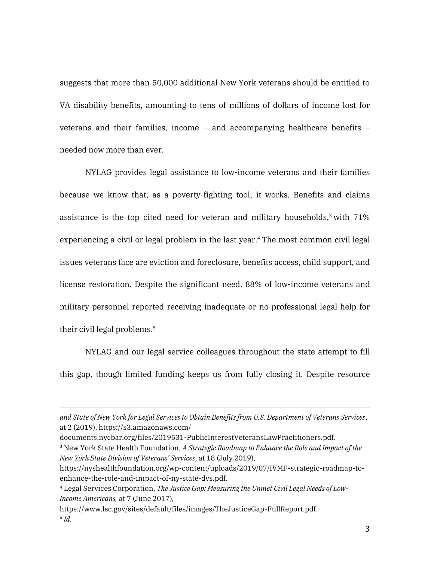suggests that more than 50,000 additional New York veterans should be entitled to VA disability benefits, amounting to tens of millions of dollars of income lost for veterans and their families, income – and accompanying healthcare benefits – needed now more than ever.

NYLAG provides legal assistance to low-income veterans and their families because we know that, as a poverty-fighting tool, it works. Benefits and claims assistance is the top cited need for veteran and military households, $3$  with 71% experiencing a civil or legal problem in the last year. <sup>4</sup> The most common civil legal issues veterans face are eviction and foreclosure, benefits access, child support, and license restoration. Despite the significant need, 88% of low-income veterans and military personnel reported receiving inadequate or no professional legal help for their civil legal problems.<sup>5</sup>

NYLAG and our legal service colleagues throughout the state attempt to fill this gap, though limited funding keeps us from fully closing it. Despite resource

*and State of New York for Legal Services to Obtain Benefits from U.S. Department of Veterans Services*, at 2 (2019), https://s3.amazonaws.com/

documents.nycbar.org/files/2019531-PublicInterestVeteransLawPractitioners.pdf.

<sup>3</sup> New York State Health Foundation, *A Strategic Roadmap to Enhance the Role and Impact of the New York State Division of Veterans' Services*, at 18 (July 2019),

https://nyshealthfoundation.org/wp-content/uploads/2019/07/IVMF-strategic-roadmap-toenhance-the-role-and-impact-of-ny-state-dvs.pdf.

<sup>4</sup> Legal Services Corporation, *The Justice Gap: Measuring the Unmet Civil Legal Needs of Low-Income Americans,* at 7 (June 2017),

https://www.lsc.gov/sites/default/files/images/TheJusticeGap-FullReport.pdf. 5 *Id.*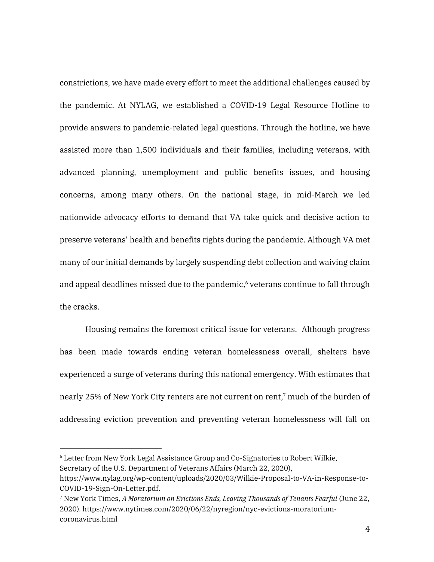constrictions, we have made every effort to meet the additional challenges caused by the pandemic. At NYLAG, we established a COVID-19 Legal Resource Hotline to provide answers to pandemic-related legal questions. Through the hotline, we have assisted more than 1,500 individuals and their families, including veterans, with advanced planning, unemployment and public benefits issues, and housing concerns, among many others. On the national stage, in mid-March we led nationwide advocacy efforts to demand that VA take quick and decisive action to preserve veterans' health and benefits rights during the pandemic. Although VA met many of our initial demands by largely suspending debt collection and waiving claim and appeal deadlines missed due to the pandemic, <sup>6</sup> veterans continue to fall through the cracks.

Housing remains the foremost critical issue for veterans. Although progress has been made towards ending veteran homelessness overall, shelters have experienced a surge of veterans during this national emergency. With estimates that nearly 25% of New York City renters are not current on rent, <sup>7</sup> much of the burden of addressing eviction prevention and preventing veteran homelessness will fall on

<sup>6</sup> Letter from New York Legal Assistance Group and Co-Signatories to Robert Wilkie, Secretary of the U.S. Department of Veterans Affairs (March 22, 2020),

https://www.nylag.org/wp-content/uploads/2020/03/Wilkie-Proposal-to-VA-in-Response-to-COVID-19-Sign-On-Letter.pdf.

<sup>7</sup> New York Times, *A Moratorium on Evictions Ends, Leaving Thousands of Tenants Fearful* (June 22, 2020). https://www.nytimes.com/2020/06/22/nyregion/nyc-evictions-moratoriumcoronavirus.html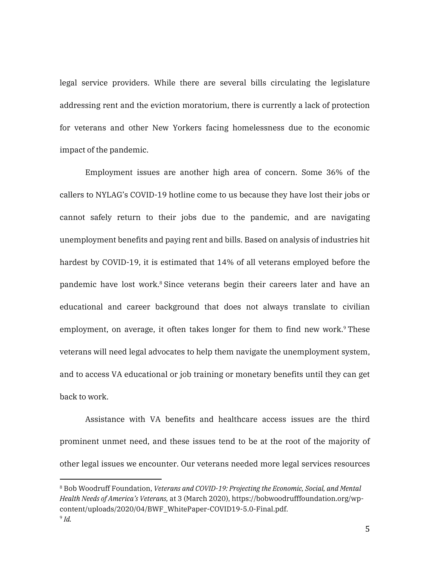legal service providers. While there are several bills circulating the legislature addressing rent and the eviction moratorium, there is currently a lack of protection for veterans and other New Yorkers facing homelessness due to the economic impact of the pandemic.

Employment issues are another high area of concern. Some 36% of the callers to NYLAG's COVID-19 hotline come to us because they have lost their jobs or cannot safely return to their jobs due to the pandemic, and are navigating unemployment benefits and paying rent and bills. Based on analysis of industries hit hardest by COVID-19, it is estimated that 14% of all veterans employed before the pandemic have lost work. <sup>8</sup> Since veterans begin their careers later and have an educational and career background that does not always translate to civilian employment, on average, it often takes longer for them to find new work.<sup>9</sup> These veterans will need legal advocates to help them navigate the unemployment system, and to access VA educational or job training or monetary benefits until they can get back to work.

Assistance with VA benefits and healthcare access issues are the third prominent unmet need, and these issues tend to be at the root of the majority of other legal issues we encounter. Our veterans needed more legal services resources

<sup>8</sup> Bob Woodruff Foundation, *Veterans and COVID-19: Projecting the Economic, Social, and Mental Health Needs of America's Veterans,* at 3 (March 2020), https://bobwoodrufffoundation.org/wpcontent/uploads/2020/04/BWF\_WhitePaper-COVID19-5.0-Final.pdf.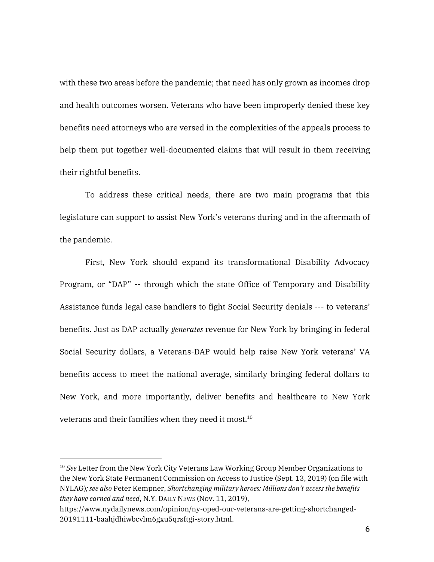with these two areas before the pandemic; that need has only grown as incomes drop and health outcomes worsen. Veterans who have been improperly denied these key benefits need attorneys who are versed in the complexities of the appeals process to help them put together well-documented claims that will result in them receiving their rightful benefits.

To address these critical needs, there are two main programs that this legislature can support to assist New York's veterans during and in the aftermath of the pandemic.

First, New York should expand its transformational Disability Advocacy Program, or "DAP" -- through which the state Office of Temporary and Disability Assistance funds legal case handlers to fight Social Security denials --- to veterans' benefits. Just as DAP actually *generates* revenue for New York by bringing in federal Social Security dollars, a Veterans-DAP would help raise New York veterans' VA benefits access to meet the national average, similarly bringing federal dollars to New York, and more importantly, deliver benefits and healthcare to New York veterans and their families when they need it most. $^{\rm 10}$ 

<sup>&</sup>lt;sup>10</sup> *See* Letter from the New York City Veterans Law Working Group Member Organizations to the New York State Permanent Commission on Access to Justice (Sept. 13, 2019) (on file with NYLAG)*; see also* Peter Kempner, *Shortchanging military heroes: Millions don't access the benefits they have earned and need*, N.Y. DAILY NEWS (Nov. 11, 2019),

https://www.nydailynews.com/opinion/ny-oped-our-veterans-are-getting-shortchanged-20191111-baahjdhiwbcvlm6gxu5qrsftgi-story.html.